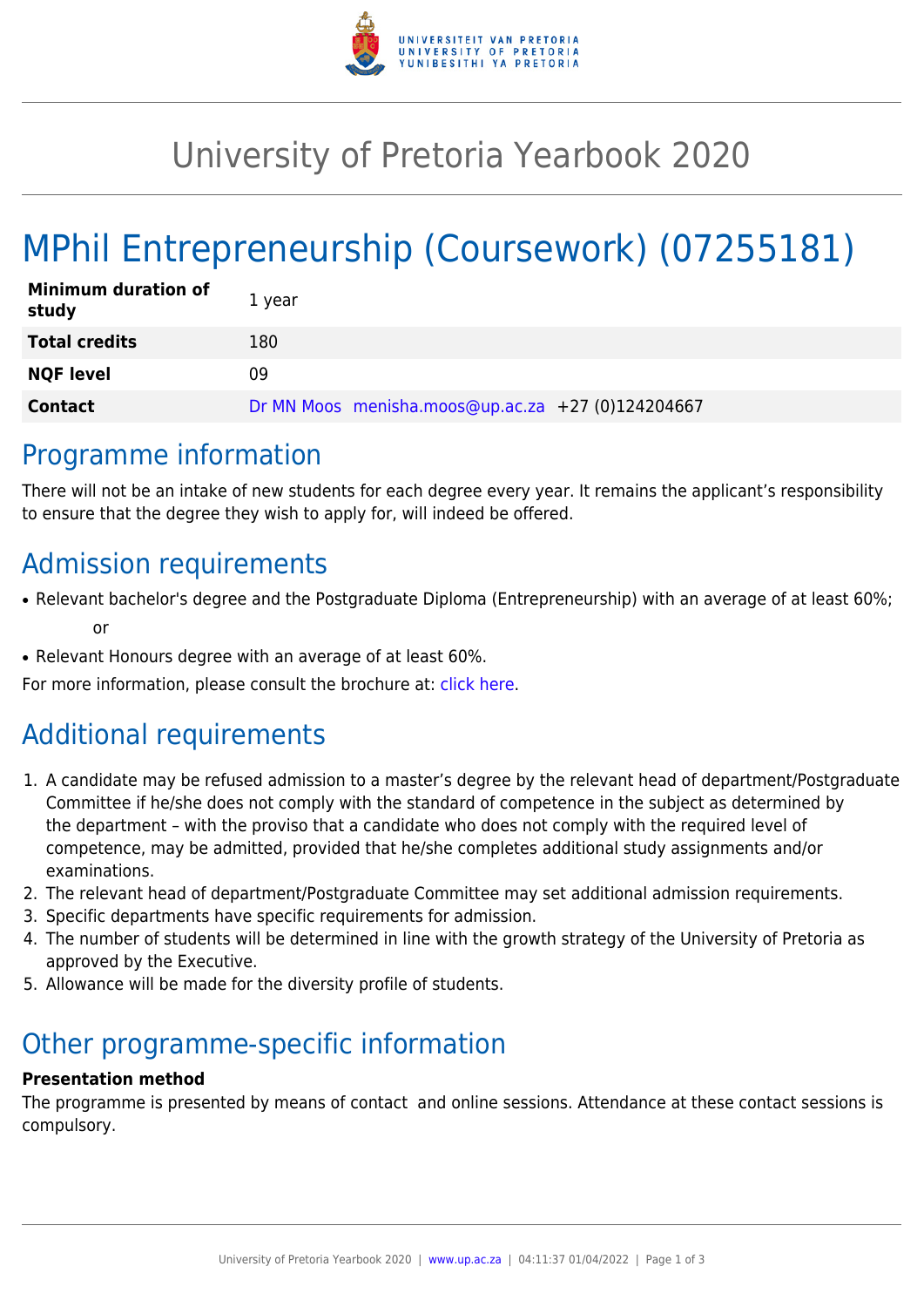

# University of Pretoria Yearbook 2020

# MPhil Entrepreneurship (Coursework) (07255181)

| <b>Minimum duration of</b><br>study | 1 year                                            |
|-------------------------------------|---------------------------------------------------|
| <b>Total credits</b>                | 180                                               |
| <b>NQF level</b>                    | 09                                                |
| <b>Contact</b>                      | Dr MN Moos menisha.moos@up.ac.za +27 (0)124204667 |

### Programme information

There will not be an intake of new students for each degree every year. It remains the applicant's responsibility to ensure that the degree they wish to apply for, will indeed be offered.

### Admission requirements

- Relevant bachelor's degree and the Postgraduate Diploma (Entrepreneurship) with an average of at least 60%; or
- Relevant Honours degree with an average of at least 60%.

For more information, please consult the brochure at: [click here.](https://www.up.ac.za/media/shared/77/ZP_Files/2018/bus.-mngt_mphil-entrepreneurship_-brochure_2019.zp160354.pdf)

# Additional requirements

- 1. A candidate may be refused admission to a master's degree by the relevant head of department/Postgraduate Committee if he/she does not comply with the standard of competence in the subject as determined by the department – with the proviso that a candidate who does not comply with the required level of competence, may be admitted, provided that he/she completes additional study assignments and/or examinations.
- 2. The relevant head of department/Postgraduate Committee may set additional admission requirements.
- 3. Specific departments have specific requirements for admission.
- 4. The number of students will be determined in line with the growth strategy of the University of Pretoria as approved by the Executive.
- 5. Allowance will be made for the diversity profile of students.

# Other programme-specific information

### **Presentation method**

The programme is presented by means of contact and online sessions. Attendance at these contact sessions is compulsory.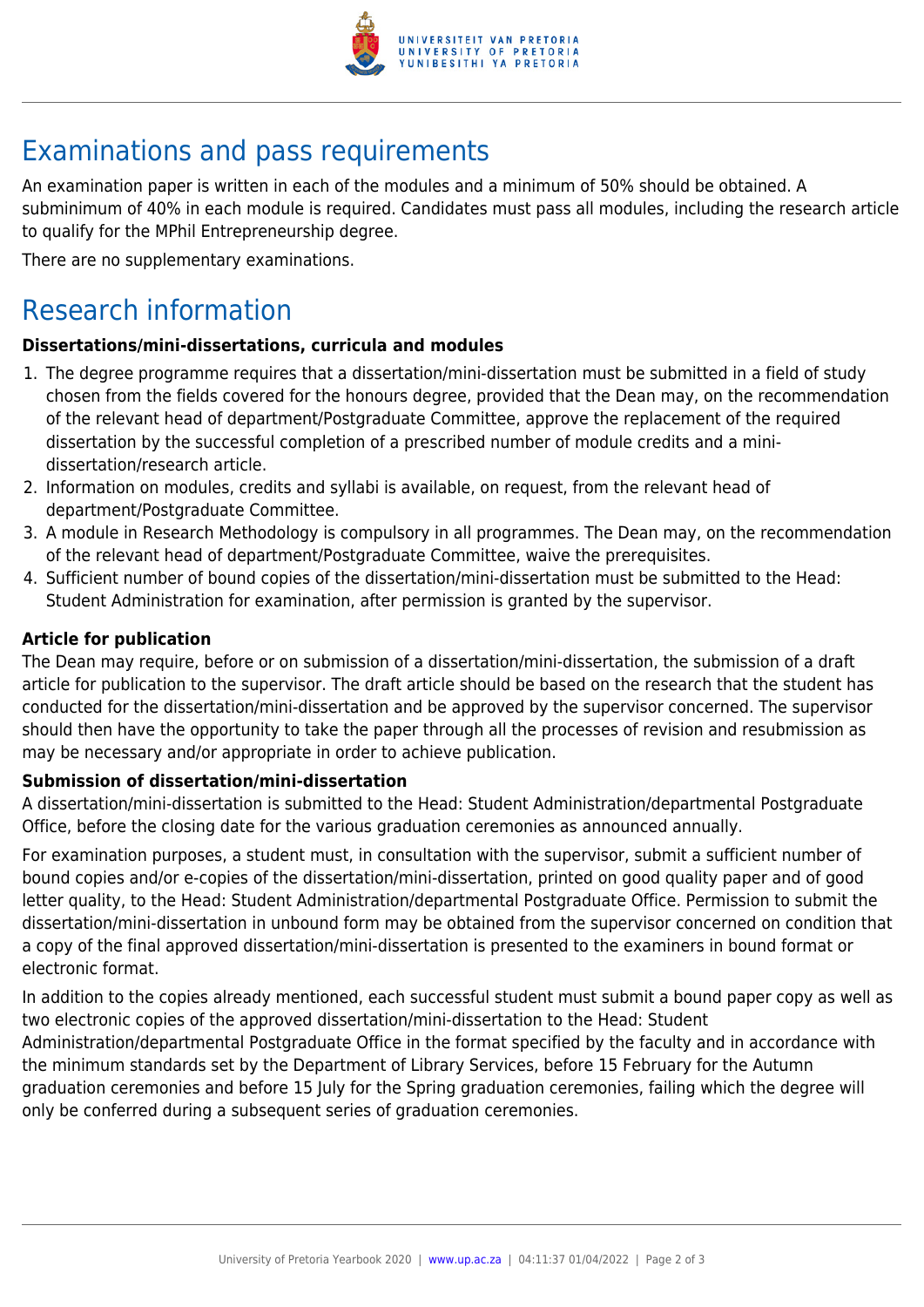

## Examinations and pass requirements

An examination paper is written in each of the modules and a minimum of 50% should be obtained. A subminimum of 40% in each module is required. Candidates must pass all modules, including the research article to qualify for the MPhil Entrepreneurship degree.

There are no supplementary examinations.

### Research information

#### **Dissertations/mini-dissertations, curricula and modules**

- 1. The degree programme requires that a dissertation/mini-dissertation must be submitted in a field of study chosen from the fields covered for the honours degree, provided that the Dean may, on the recommendation of the relevant head of department/Postgraduate Committee, approve the replacement of the required dissertation by the successful completion of a prescribed number of module credits and a minidissertation/research article.
- 2. Information on modules, credits and syllabi is available, on request, from the relevant head of department/Postgraduate Committee.
- 3. A module in Research Methodology is compulsory in all programmes. The Dean may, on the recommendation of the relevant head of department/Postgraduate Committee, waive the prerequisites.
- 4. Sufficient number of bound copies of the dissertation/mini-dissertation must be submitted to the Head: Student Administration for examination, after permission is granted by the supervisor.

#### **Article for publication**

The Dean may require, before or on submission of a dissertation/mini-dissertation, the submission of a draft article for publication to the supervisor. The draft article should be based on the research that the student has conducted for the dissertation/mini-dissertation and be approved by the supervisor concerned. The supervisor should then have the opportunity to take the paper through all the processes of revision and resubmission as may be necessary and/or appropriate in order to achieve publication.

#### **Submission of dissertation/mini-dissertation**

A dissertation/mini-dissertation is submitted to the Head: Student Administration/departmental Postgraduate Office, before the closing date for the various graduation ceremonies as announced annually.

For examination purposes, a student must, in consultation with the supervisor, submit a sufficient number of bound copies and/or e-copies of the dissertation/mini-dissertation, printed on good quality paper and of good letter quality, to the Head: Student Administration/departmental Postgraduate Office. Permission to submit the dissertation/mini-dissertation in unbound form may be obtained from the supervisor concerned on condition that a copy of the final approved dissertation/mini-dissertation is presented to the examiners in bound format or electronic format.

In addition to the copies already mentioned, each successful student must submit a bound paper copy as well as two electronic copies of the approved dissertation/mini-dissertation to the Head: Student Administration/departmental Postgraduate Office in the format specified by the faculty and in accordance with the minimum standards set by the Department of Library Services, before 15 February for the Autumn graduation ceremonies and before 15 July for the Spring graduation ceremonies, failing which the degree will only be conferred during a subsequent series of graduation ceremonies.